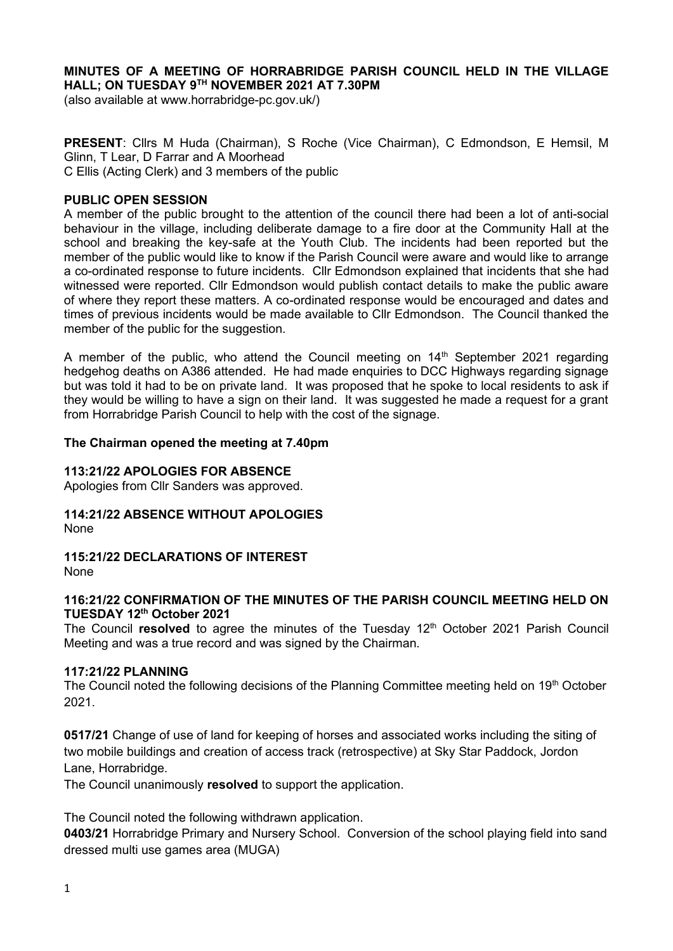## **MINUTES OF A MEETING OF HORRABRIDGE PARISH COUNCIL HELD IN THE VILLAGE HALL; ON TUESDAY 9 TH NOVEMBER 2021 AT 7.30PM**

(also available at www.horrabridge-pc.gov.uk/)

**PRESENT**: Cllrs M Huda (Chairman), S Roche (Vice Chairman), C Edmondson, E Hemsil, M Glinn, T Lear, D Farrar and A Moorhead C Ellis (Acting Clerk) and 3 members of the public

#### **PUBLIC OPEN SESSION**

A member of the public brought to the attention of the council there had been a lot of anti-social behaviour in the village, including deliberate damage to a fire door at the Community Hall at the school and breaking the key-safe at the Youth Club. The incidents had been reported but the member of the public would like to know if the Parish Council were aware and would like to arrange a co-ordinated response to future incidents. Cllr Edmondson explained that incidents that she had witnessed were reported. Cllr Edmondson would publish contact details to make the public aware of where they report these matters. A co-ordinated response would be encouraged and dates and times of previous incidents would be made available to Cllr Edmondson. The Council thanked the member of the public for the suggestion.

A member of the public, who attend the Council meeting on  $14<sup>th</sup>$  September 2021 regarding hedgehog deaths on A386 attended. He had made enquiries to DCC Highways regarding signage but was told it had to be on private land. It was proposed that he spoke to local residents to ask if they would be willing to have a sign on their land. It was suggested he made a request for a grant from Horrabridge Parish Council to help with the cost of the signage.

#### **The Chairman opened the meeting at 7.40pm**

#### **113:21/22 APOLOGIES FOR ABSENCE**

Apologies from Cllr Sanders was approved.

## **114:21/22 ABSENCE WITHOUT APOLOGIES**

None

#### **115:21/22 DECLARATIONS OF INTEREST None**

#### **116:21/22 CONFIRMATION OF THE MINUTES OF THE PARISH COUNCIL MEETING HELD ON TUESDAY 12th October 2021**

The Council **resolved** to agree the minutes of the Tuesday 12<sup>th</sup> October 2021 Parish Council Meeting and was a true record and was signed by the Chairman.

#### **117:21/22 PLANNING**

The Council noted the following decisions of the Planning Committee meeting held on 19<sup>th</sup> October 2021.

**0517/21** Change of use of land for keeping of horses and associated works including the siting of two mobile buildings and creation of access track (retrospective) at Sky Star Paddock, Jordon Lane, Horrabridge.

The Council unanimously **resolved** to support the application.

The Council noted the following withdrawn application.

**0403/21** Horrabridge Primary and Nursery School. Conversion of the school playing field into sand dressed multi use games area (MUGA)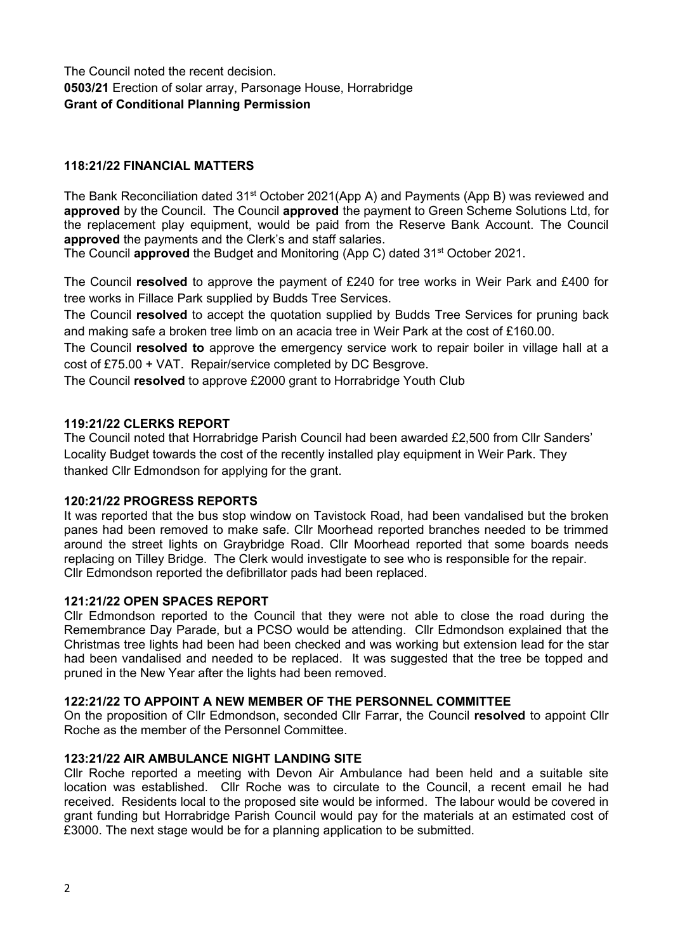The Council noted the recent decision. **0503/21** Erection of solar array, Parsonage House, Horrabridge **Grant of Conditional Planning Permission**

## **118:21/22 FINANCIAL MATTERS**

The Bank Reconciliation dated 31<sup>st</sup> October 2021(App A) and Payments (App B) was reviewed and **approved** by the Council. The Council **approved** the payment to Green Scheme Solutions Ltd, for the replacement play equipment, would be paid from the Reserve Bank Account. The Council **approved** the payments and the Clerk's and staff salaries.

The Council **approved** the Budget and Monitoring (App C) dated 31<sup>st</sup> October 2021.

The Council **resolved** to approve the payment of £240 for tree works in Weir Park and £400 for tree works in Fillace Park supplied by Budds Tree Services.

The Council **resolved** to accept the quotation supplied by Budds Tree Services for pruning back and making safe a broken tree limb on an acacia tree in Weir Park at the cost of £160.00.

The Council **resolved to** approve the emergency service work to repair boiler in village hall at a cost of £75.00 + VAT. Repair/service completed by DC Besgrove.

The Council **resolved** to approve £2000 grant to Horrabridge Youth Club

### **119:21/22 CLERKS REPORT**

The Council noted that Horrabridge Parish Council had been awarded £2,500 from Cllr Sanders' Locality Budget towards the cost of the recently installed play equipment in Weir Park. They thanked Cllr Edmondson for applying for the grant.

### **120:21/22 PROGRESS REPORTS**

It was reported that the bus stop window on Tavistock Road, had been vandalised but the broken panes had been removed to make safe. Cllr Moorhead reported branches needed to be trimmed around the street lights on Graybridge Road. Cllr Moorhead reported that some boards needs replacing on Tilley Bridge. The Clerk would investigate to see who is responsible for the repair. Cllr Edmondson reported the defibrillator pads had been replaced.

### **121:21/22 OPEN SPACES REPORT**

Cllr Edmondson reported to the Council that they were not able to close the road during the Remembrance Day Parade, but a PCSO would be attending. Cllr Edmondson explained that the Christmas tree lights had been had been checked and was working but extension lead for the star had been vandalised and needed to be replaced. It was suggested that the tree be topped and pruned in the New Year after the lights had been removed.

### **122:21/22 TO APPOINT A NEW MEMBER OF THE PERSONNEL COMMITTEE**

On the proposition of Cllr Edmondson, seconded Cllr Farrar, the Council **resolved** to appoint Cllr Roche as the member of the Personnel Committee.

### **123:21/22 AIR AMBULANCE NIGHT LANDING SITE**

Cllr Roche reported a meeting with Devon Air Ambulance had been held and a suitable site location was established. Cllr Roche was to circulate to the Council, a recent email he had received. Residents local to the proposed site would be informed. The labour would be covered in grant funding but Horrabridge Parish Council would pay for the materials at an estimated cost of £3000. The next stage would be for a planning application to be submitted.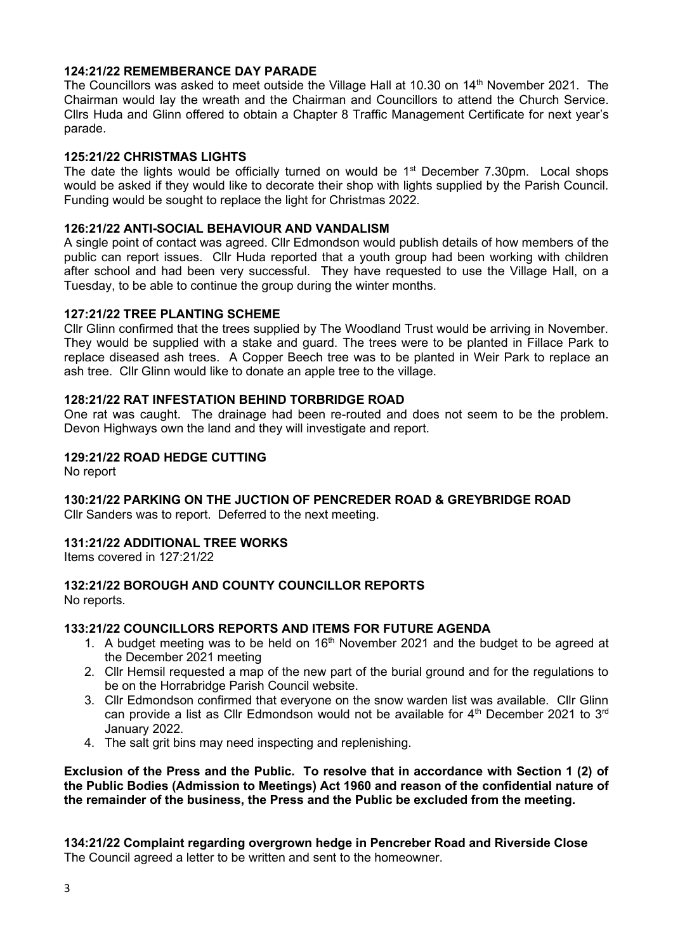### **124:21/22 REMEMBERANCE DAY PARADE**

The Councillors was asked to meet outside the Village Hall at 10.30 on  $14<sup>th</sup>$  November 2021. The Chairman would lay the wreath and the Chairman and Councillors to attend the Church Service. Cllrs Huda and Glinn offered to obtain a Chapter 8 Traffic Management Certificate for next year's parade.

#### **125:21/22 CHRISTMAS LIGHTS**

The date the lights would be officially turned on would be  $1<sup>st</sup>$  December 7.30pm. Local shops would be asked if they would like to decorate their shop with lights supplied by the Parish Council. Funding would be sought to replace the light for Christmas 2022.

#### **126:21/22 ANTI-SOCIAL BEHAVIOUR AND VANDALISM**

A single point of contact was agreed. Cllr Edmondson would publish details of how members of the public can report issues. Cllr Huda reported that a youth group had been working with children after school and had been very successful. They have requested to use the Village Hall, on a Tuesday, to be able to continue the group during the winter months.

#### **127:21/22 TREE PLANTING SCHEME**

Cllr Glinn confirmed that the trees supplied by The Woodland Trust would be arriving in November. They would be supplied with a stake and guard. The trees were to be planted in Fillace Park to replace diseased ash trees. A Copper Beech tree was to be planted in Weir Park to replace an ash tree. Cllr Glinn would like to donate an apple tree to the village.

#### **128:21/22 RAT INFESTATION BEHIND TORBRIDGE ROAD**

One rat was caught. The drainage had been re-routed and does not seem to be the problem. Devon Highways own the land and they will investigate and report.

#### **129:21/22 ROAD HEDGE CUTTING**

No report

## **130:21/22 PARKING ON THE JUCTION OF PENCREDER ROAD & GREYBRIDGE ROAD**

Cllr Sanders was to report. Deferred to the next meeting.

### **131:21/22 ADDITIONAL TREE WORKS**

Items covered in 127:21/22

## **132:21/22 BOROUGH AND COUNTY COUNCILLOR REPORTS**

No reports.

### **133:21/22 COUNCILLORS REPORTS AND ITEMS FOR FUTURE AGENDA**

- 1. A budget meeting was to be held on  $16<sup>th</sup>$  November 2021 and the budget to be agreed at the December 2021 meeting
- 2. Cllr Hemsil requested a map of the new part of the burial ground and for the regulations to be on the Horrabridge Parish Council website.
- 3. Cllr Edmondson confirmed that everyone on the snow warden list was available. Cllr Glinn can provide a list as Cllr Edmondson would not be available for  $4<sup>th</sup>$  December 2021 to  $3<sup>rd</sup>$ January 2022.
- 4. The salt grit bins may need inspecting and replenishing.

**Exclusion of the Press and the Public. To resolve that in accordance with Section 1 (2) of the Public Bodies (Admission to Meetings) Act 1960 and reason of the confidential nature of the remainder of the business, the Press and the Public be excluded from the meeting.**

**134:21/22 Complaint regarding overgrown hedge in Pencreber Road and Riverside Close** The Council agreed a letter to be written and sent to the homeowner.